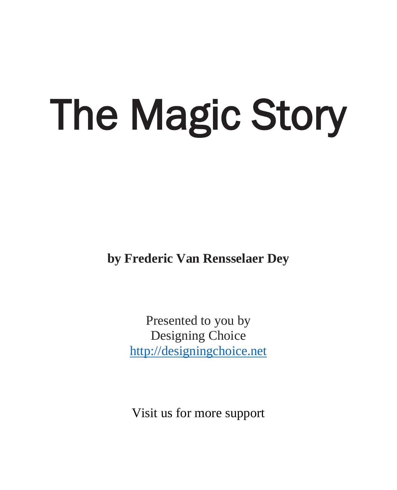# The Magic Story

**by Frederic Van Rensselaer Dey**

Presented to you by Designing Choice [http://designingchoice.net](http://designingchoice.net/)

Visit us for more support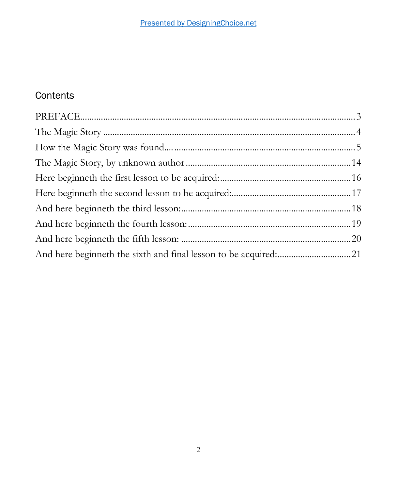#### **Contents**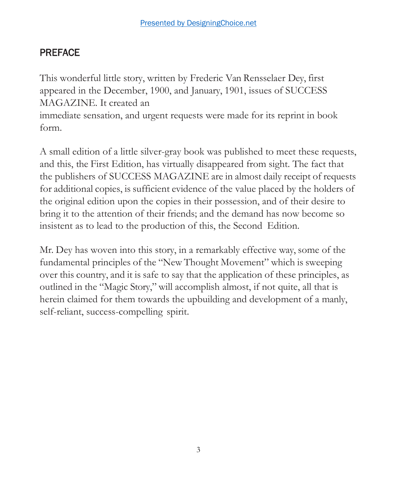## <span id="page-2-0"></span>PREFACE

This wonderful little story, written by Frederic Van Rensselaer Dey, first appeared in the December, 1900, and January, 1901, issues of SUCCESS MAGAZINE. It created an immediate sensation, and urgent requests were made for its reprint in book form.

A small edition of a little silver-gray book was published to meet these requests, and this, the First Edition, has virtually disappeared from sight. The fact that the publishers of SUCCESS MAGAZINE are in almost daily receipt of requests for additional copies, is sufficient evidence of the value placed by the holders of the original edition upon the copies in their possession, and of their desire to bring it to the attention of their friends; and the demand has now become so insistent as to lead to the production of this, the Second Edition.

Mr. Dey has woven into this story, in a remarkably effective way, some of the fundamental principles of the "New Thought Movement" which is sweeping over this country, and it is safe to say that the application of these principles, as outlined in the "Magic Story," will accomplish almost, if not quite, all that is herein claimed for them towards the upbuilding and development of a manly, self-reliant, success-compelling spirit.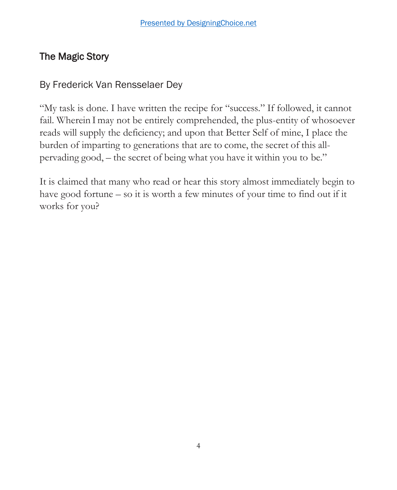## <span id="page-3-0"></span>The Magic Story

### By Frederick Van Rensselaer Dey

"My task is done. I have written the recipe for "success." If followed, it cannot fail. Wherein I may not be entirely comprehended, the plus-entity of whosoever reads will supply the deficiency; and upon that Better Self of mine, I place the burden of imparting to generations that are to come, the secret of this allpervading good, – the secret of being what you have it within you to be."

It is claimed that many who read or hear this story almost immediately begin to have good fortune – so it is worth a few minutes of your time to find out if it works for you?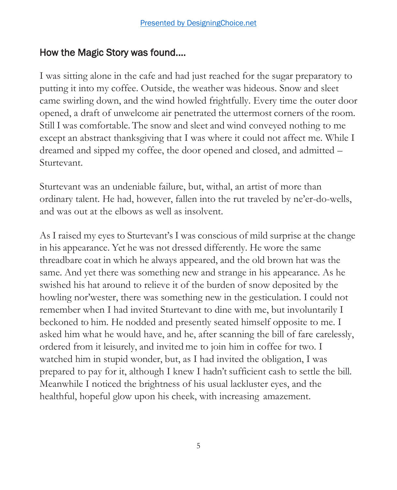#### <span id="page-4-0"></span>How the Magic Story was found....

I was sitting alone in the cafe and had just reached for the sugar preparatory to putting it into my coffee. Outside, the weather was hideous. Snow and sleet came swirling down, and the wind howled frightfully. Every time the outer door opened, a draft of unwelcome air penetrated the uttermost corners of the room. Still I was comfortable. The snow and sleet and wind conveyed nothing to me except an abstract thanksgiving that I was where it could not affect me. While I dreamed and sipped my coffee, the door opened and closed, and admitted – Sturtevant.

Sturtevant was an undeniable failure, but, withal, an artist of more than ordinary talent. He had, however, fallen into the rut traveled by ne'er-do-wells, and was out at the elbows as well as insolvent.

As I raised my eyes to Sturtevant's I was conscious of mild surprise at the change in his appearance. Yet he was not dressed differently. He wore the same threadbare coat in which he always appeared, and the old brown hat was the same. And yet there was something new and strange in his appearance. As he swished his hat around to relieve it of the burden of snow deposited by the howling nor'wester, there was something new in the gesticulation. I could not remember when I had invited Sturtevant to dine with me, but involuntarily I beckoned to him. He nodded and presently seated himself opposite to me. I asked him what he would have, and he, after scanning the bill of fare carelessly, ordered from it leisurely, and invited me to join him in coffee for two. I watched him in stupid wonder, but, as I had invited the obligation, I was prepared to pay for it, although I knew I hadn't sufficient cash to settle the bill. Meanwhile I noticed the brightness of his usual lackluster eyes, and the healthful, hopeful glow upon his cheek, with increasing amazement.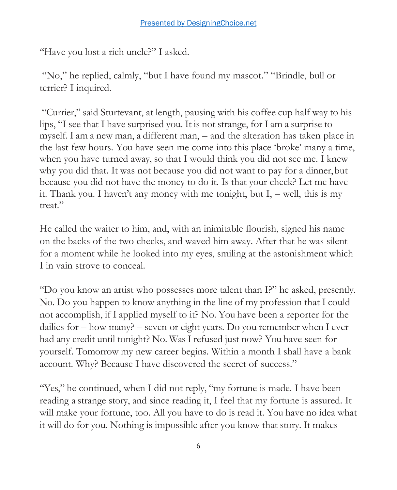"Have you lost a rich uncle?" I asked.

"No," he replied, calmly, "but I have found my mascot." "Brindle, bull or terrier? I inquired.

"Currier," said Sturtevant, at length, pausing with his coffee cup half way to his lips, "I see that I have surprised you. It is not strange, for I am a surprise to myself. I am a new man, a different man, – and the alteration has taken place in the last few hours. You have seen me come into this place 'broke' many a time, when you have turned away, so that I would think you did not see me. I knew why you did that. It was not because you did not want to pay for a dinner, but because you did not have the money to do it. Is that your check? Let me have it. Thank you. I haven't any money with me tonight, but I, – well, this is my treat."

He called the waiter to him, and, with an inimitable flourish, signed his name on the backs of the two checks, and waved him away. After that he was silent for a moment while he looked into my eyes, smiling at the astonishment which I in vain strove to conceal.

"Do you know an artist who possesses more talent than I?" he asked, presently. No. Do you happen to know anything in the line of my profession that I could not accomplish, if I applied myself to it? No. You have been a reporter for the dailies for – how many? – seven or eight years. Do you remember when I ever had any credit until tonight? No. Was I refused just now? You have seen for yourself. Tomorrow my new career begins. Within a month I shall have a bank account. Why? Because I have discovered the secret of success."

"Yes," he continued, when I did not reply, "my fortune is made. I have been reading a strange story, and since reading it, I feel that my fortune is assured. It will make your fortune, too. All you have to do is read it. You have no idea what it will do for you. Nothing is impossible after you know that story. It makes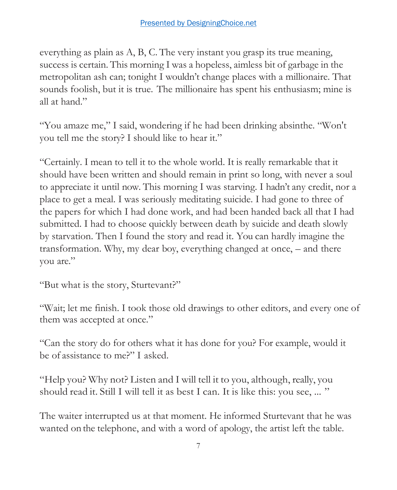everything as plain as A, B, C. The very instant you grasp its true meaning, success is certain. This morning I was a hopeless, aimless bit of garbage in the metropolitan ash can; tonight I wouldn't change places with a millionaire. That sounds foolish, but it is true. The millionaire has spent his enthusiasm; mine is all at hand."

"You amaze me," I said, wondering if he had been drinking absinthe. "Won't you tell me the story? I should like to hear it."

"Certainly. I mean to tell it to the whole world. It is really remarkable that it should have been written and should remain in print so long, with never a soul to appreciate it until now. This morning I was starving. I hadn't any credit, nor a place to get a meal. I was seriously meditating suicide. I had gone to three of the papers for which I had done work, and had been handed back all that I had submitted. I had to choose quickly between death by suicide and death slowly by starvation. Then I found the story and read it. You can hardly imagine the transformation. Why, my dear boy, everything changed at once, – and there you are."

```
"But what is the story, Sturtevant?"
```
"Wait; let me finish. I took those old drawings to other editors, and every one of them was accepted at once."

"Can the story do for others what it has done for you? For example, would it be of assistance to me?" I asked.

"Help you? Why not? Listen and I will tell it to you, although, really, you should read it. Still I will tell it as best I can. It is like this: you see, ... "

The waiter interrupted us at that moment. He informed Sturtevant that he was wanted on the telephone, and with a word of apology, the artist left the table.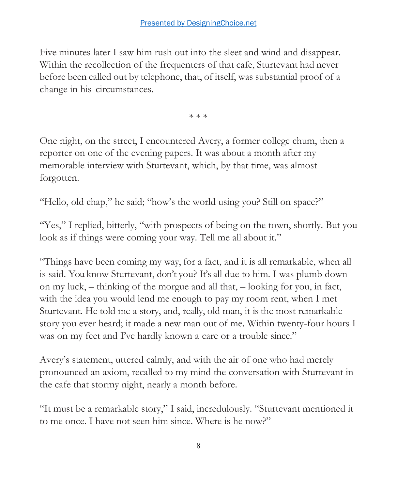Five minutes later I saw him rush out into the sleet and wind and disappear. Within the recollection of the frequenters of that cafe, Sturtevant had never before been called out by telephone, that, of itself, was substantial proof of a change in his circumstances.

\* \* \*

One night, on the street, I encountered Avery, a former college chum, then a reporter on one of the evening papers. It was about a month after my memorable interview with Sturtevant, which, by that time, was almost forgotten.

"Hello, old chap," he said; "how's the world using you? Still on space?"

"Yes," I replied, bitterly, "with prospects of being on the town, shortly. But you look as if things were coming your way. Tell me all about it."

"Things have been coming my way, for a fact, and it is all remarkable, when all is said. You know Sturtevant, don't you? It's all due to him. I was plumb down on my luck, – thinking of the morgue and all that, – looking for you, in fact, with the idea you would lend me enough to pay my room rent, when I met Sturtevant. He told me a story, and, really, old man, it is the most remarkable story you ever heard; it made a new man out of me. Within twenty-four hours I was on my feet and I've hardly known a care or a trouble since."

Avery's statement, uttered calmly, and with the air of one who had merely pronounced an axiom, recalled to my mind the conversation with Sturtevant in the cafe that stormy night, nearly a month before.

"It must be a remarkable story," I said, incredulously. "Sturtevant mentioned it to me once. I have not seen him since. Where is he now?"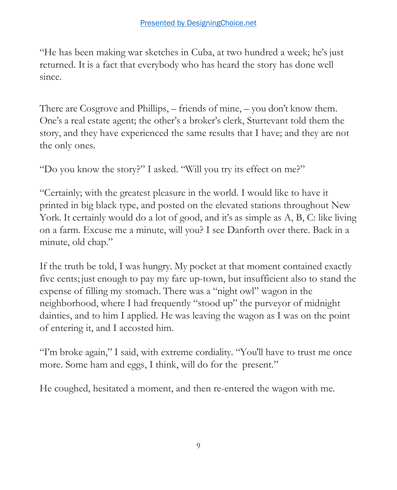"He has been making war sketches in Cuba, at two hundred a week; he's just returned. It is a fact that everybody who has heard the story has done well since.

There are Cosgrove and Phillips, – friends of mine, – you don't know them. One's a real estate agent; the other's a broker's clerk, Sturtevant told them the story, and they have experienced the same results that I have; and they are not the only ones.

"Do you know the story?" I asked. "Will you try its effect on me?"

"Certainly; with the greatest pleasure in the world. I would like to have it printed in big black type, and posted on the elevated stations throughout New York. It certainly would do a lot of good, and it's as simple as A, B, C: like living on a farm. Excuse me a minute, will you? I see Danforth over there. Back in a minute, old chap."

If the truth be told, I was hungry. My pocket at that moment contained exactly five cents; just enough to pay my fare up-town, but insufficient also to stand the expense of filling my stomach. There was a "night owl" wagon in the neighborhood, where I had frequently "stood up" the purveyor of midnight dainties, and to him I applied. He was leaving the wagon as I was on the point of entering it, and I accosted him.

"I'm broke again," I said, with extreme cordiality. "You'll have to trust me once more. Some ham and eggs, I think, will do for the present."

He coughed, hesitated a moment, and then re-entered the wagon with me.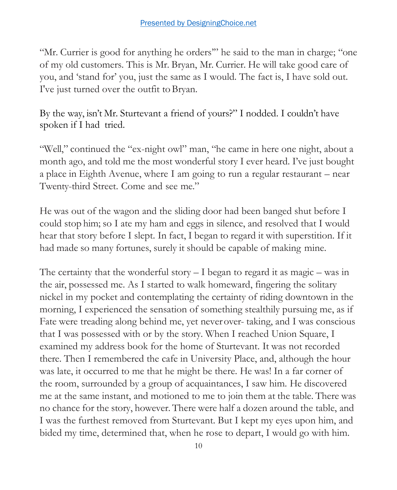"Mr. Currier is good for anything he orders'" he said to the man in charge; "one of my old customers. This is Mr. Bryan, Mr. Currier. He will take good care of you, and 'stand for' you, just the same as I would. The fact is, I have sold out. I've just turned over the outfit to Bryan.

By the way, isn't Mr. Sturtevant a friend of yours?" I nodded. I couldn't have spoken if I had tried.

"Well," continued the "ex-night owl" man, "he came in here one night, about a month ago, and told me the most wonderful story I ever heard. I've just bought a place in Eighth Avenue, where I am going to run a regular restaurant – near Twenty-third Street. Come and see me."

He was out of the wagon and the sliding door had been banged shut before I could stop him; so I ate my ham and eggs in silence, and resolved that I would hear that story before I slept. In fact, I began to regard it with superstition. If it had made so many fortunes, surely it should be capable of making mine.

The certainty that the wonderful story  $-$  I began to regard it as magic  $-$  was in the air, possessed me. As I started to walk homeward, fingering the solitary nickel in my pocket and contemplating the certainty of riding downtown in the morning, I experienced the sensation of something stealthily pursuing me, as if Fate were treading along behind me, yet neverover- taking, and I was conscious that I was possessed with or by the story. When I reached Union Square, I examined my address book for the home of Sturtevant. It was not recorded there. Then I remembered the cafe in University Place, and, although the hour was late, it occurred to me that he might be there. He was! In a far corner of the room, surrounded by a group of acquaintances, I saw him. He discovered me at the same instant, and motioned to me to join them at the table. There was no chance for the story, however. There were half a dozen around the table, and I was the furthest removed from Sturtevant. But I kept my eyes upon him, and bided my time, determined that, when he rose to depart, I would go with him.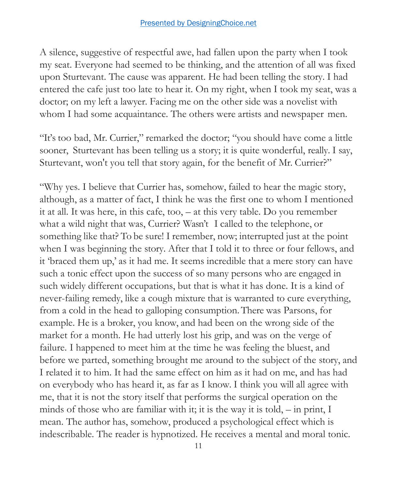A silence, suggestive of respectful awe, had fallen upon the party when I took my seat. Everyone had seemed to be thinking, and the attention of all was fixed upon Sturtevant. The cause was apparent. He had been telling the story. I had entered the cafe just too late to hear it. On my right, when I took my seat, was a doctor; on my left a lawyer. Facing me on the other side was a novelist with whom I had some acquaintance. The others were artists and newspaper men.

"It's too bad, Mr. Currier," remarked the doctor; "you should have come a little sooner, Sturtevant has been telling us a story; it is quite wonderful, really. I say, Sturtevant, won't you tell that story again, for the benefit of Mr. Currier?"

"Why yes. I believe that Currier has, somehow, failed to hear the magic story, although, as a matter of fact, I think he was the first one to whom I mentioned it at all. It was here, in this cafe, too, – at this very table. Do you remember what a wild night that was, Currier? Wasn't I called to the telephone, or something like that? To be sure! I remember, now; interrupted just at the point when I was beginning the story. After that I told it to three or four fellows, and it 'braced them up,' as it had me. It seems incredible that a mere story can have such a tonic effect upon the success of so many persons who are engaged in such widely different occupations, but that is what it has done. It is a kind of never-failing remedy, like a cough mixture that is warranted to cure everything, from a cold in the head to galloping consumption.There was Parsons, for example. He is a broker, you know, and had been on the wrong side of the market for a month. He had utterly lost his grip, and was on the verge of failure. I happened to meet him at the time he was feeling the bluest, and before we parted, something brought me around to the subject of the story, and I related it to him. It had the same effect on him as it had on me, and has had on everybody who has heard it, as far as I know. I think you will all agree with me, that it is not the story itself that performs the surgical operation on the minds of those who are familiar with it; it is the way it is told, – in print, I mean. The author has, somehow, produced a psychological effect which is indescribable. The reader is hypnotized. He receives a mental and moral tonic.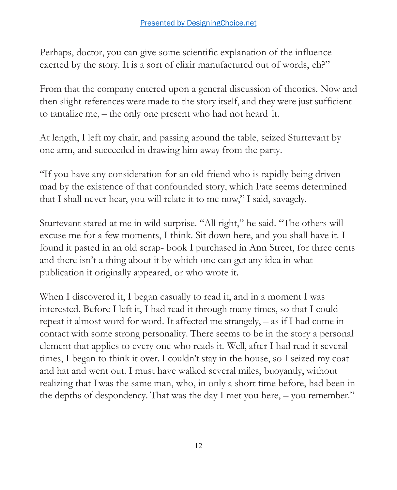Perhaps, doctor, you can give some scientific explanation of the influence exerted by the story. It is a sort of elixir manufactured out of words, eh?"

From that the company entered upon a general discussion of theories. Now and then slight references were made to the story itself, and they were just sufficient to tantalize me, – the only one present who had not heard it.

At length, I left my chair, and passing around the table, seized Sturtevant by one arm, and succeeded in drawing him away from the party.

"If you have any consideration for an old friend who is rapidly being driven mad by the existence of that confounded story, which Fate seems determined that I shall never hear, you will relate it to me now," I said, savagely.

Sturtevant stared at me in wild surprise. "All right," he said. "The others will excuse me for a few moments, I think. Sit down here, and you shall have it. I found it pasted in an old scrap- book I purchased in Ann Street, for three cents and there isn't a thing about it by which one can get any idea in what publication it originally appeared, or who wrote it.

When I discovered it, I began casually to read it, and in a moment I was interested. Before I left it, I had read it through many times, so that I could repeat it almost word for word. It affected me strangely, – as if I had come in contact with some strong personality. There seems to be in the story a personal element that applies to every one who reads it. Well, after I had read it several times, I began to think it over. I couldn't stay in the house, so I seized my coat and hat and went out. I must have walked several miles, buoyantly, without realizing that I was the same man, who, in only a short time before, had been in the depths of despondency. That was the day I met you here, – you remember."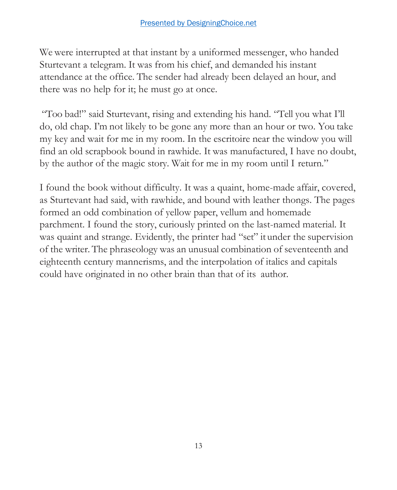We were interrupted at that instant by a uniformed messenger, who handed Sturtevant a telegram. It was from his chief, and demanded his instant attendance at the office. The sender had already been delayed an hour, and there was no help for it; he must go at once.

"Too bad!" said Sturtevant, rising and extending his hand. "Tell you what I'll do, old chap. I'm not likely to be gone any more than an hour or two. You take my key and wait for me in my room. In the escritoire near the window you will find an old scrapbook bound in rawhide. It was manufactured, I have no doubt, by the author of the magic story. Wait for me in my room until I return."

I found the book without difficulty. It was a quaint, home-made affair, covered, as Sturtevant had said, with rawhide, and bound with leather thongs. The pages formed an odd combination of yellow paper, vellum and homemade parchment. I found the story, curiously printed on the last-named material. It was quaint and strange. Evidently, the printer had "set" it under the supervision of the writer. The phraseology was an unusual combination of seventeenth and eighteenth century mannerisms, and the interpolation of italics and capitals could have originated in no other brain than that of its author.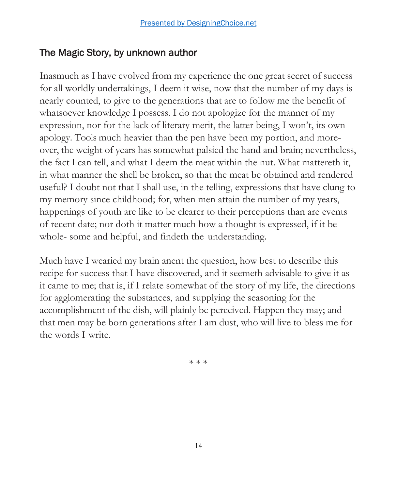#### <span id="page-13-0"></span>The Magic Story, by unknown author

Inasmuch as I have evolved from my experience the one great secret of success for all worldly undertakings, I deem it wise, now that the number of my days is nearly counted, to give to the generations that are to follow me the benefit of whatsoever knowledge I possess. I do not apologize for the manner of my expression, nor for the lack of literary merit, the latter being, I won't, its own apology. Tools much heavier than the pen have been my portion, and moreover, the weight of years has somewhat palsied the hand and brain; nevertheless, the fact I can tell, and what I deem the meat within the nut. What mattereth it, in what manner the shell be broken, so that the meat be obtained and rendered useful? I doubt not that I shall use, in the telling, expressions that have clung to my memory since childhood; for, when men attain the number of my years, happenings of youth are like to be clearer to their perceptions than are events of recent date; nor doth it matter much how a thought is expressed, if it be whole- some and helpful, and findeth the understanding.

Much have I wearied my brain anent the question, how best to describe this recipe for success that I have discovered, and it seemeth advisable to give it as it came to me; that is, if I relate somewhat of the story of my life, the directions for agglomerating the substances, and supplying the seasoning for the accomplishment of the dish, will plainly be perceived. Happen they may; and that men may be born generations after I am dust, who will live to bless me for the words I write.

\* \* \*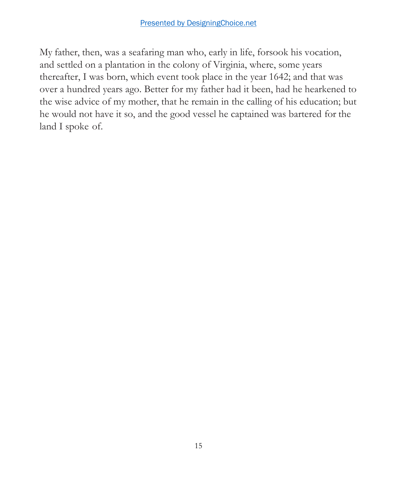<span id="page-14-0"></span>My father, then, was a seafaring man who, early in life, forsook his vocation, and settled on a plantation in the colony of Virginia, where, some years thereafter, I was born, which event took place in the year 1642; and that was over a hundred years ago. Better for my father had it been, had he hearkened to the wise advice of my mother, that he remain in the calling of his education; but he would not have it so, and the good vessel he captained was bartered for the land I spoke of.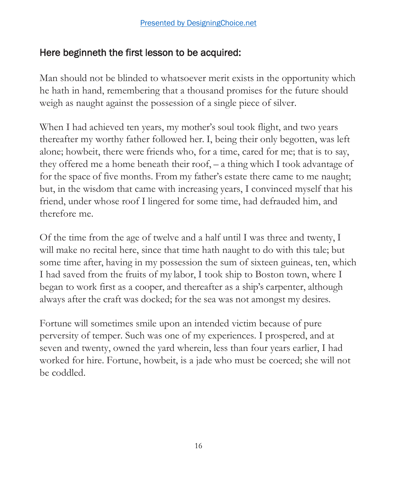#### Here beginneth the first lesson to be acquired:

Man should not be blinded to whatsoever merit exists in the opportunity which he hath in hand, remembering that a thousand promises for the future should weigh as naught against the possession of a single piece of silver.

When I had achieved ten years, my mother's soul took flight, and two years thereafter my worthy father followed her. I, being their only begotten, was left alone; howbeit, there were friends who, for a time, cared for me; that is to say, they offered me a home beneath their roof, – a thing which I took advantage of for the space of five months. From my father's estate there came to me naught; but, in the wisdom that came with increasing years, I convinced myself that his friend, under whose roof I lingered for some time, had defrauded him, and therefore me.

Of the time from the age of twelve and a half until I was three and twenty, I will make no recital here, since that time hath naught to do with this tale; but some time after, having in my possession the sum of sixteen guineas, ten, which I had saved from the fruits of my labor, I took ship to Boston town, where I began to work first as a cooper, and thereafter as a ship's carpenter, although always after the craft was docked; for the sea was not amongst my desires.

<span id="page-15-0"></span>Fortune will sometimes smile upon an intended victim because of pure perversity of temper. Such was one of my experiences. I prospered, and at seven and twenty, owned the yard wherein, less than four years earlier, I had worked for hire. Fortune, howbeit, is a jade who must be coerced; she will not be coddled.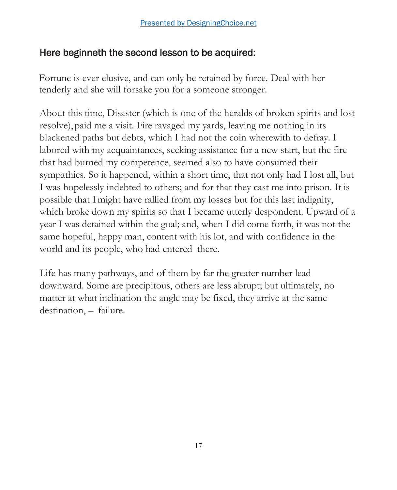#### Here beginneth the second lesson to be acquired:

Fortune is ever elusive, and can only be retained by force. Deal with her tenderly and she will forsake you for a someone stronger.

About this time, Disaster (which is one of the heralds of broken spirits and lost resolve), paid me a visit. Fire ravaged my yards, leaving me nothing in its blackened paths but debts, which I had not the coin wherewith to defray. I labored with my acquaintances, seeking assistance for a new start, but the fire that had burned my competence, seemed also to have consumed their sympathies. So it happened, within a short time, that not only had I lost all, but I was hopelessly indebted to others; and for that they cast me into prison. It is possible that Imight have rallied from my losses but for this last indignity, which broke down my spirits so that I became utterly despondent. Upward of a year I was detained within the goal; and, when I did come forth, it was not the same hopeful, happy man, content with his lot, and with confidence in the world and its people, who had entered there.

<span id="page-16-0"></span>Life has many pathways, and of them by far the greater number lead downward. Some are precipitous, others are less abrupt; but ultimately, no matter at what inclination the angle may be fixed, they arrive at the same destination, – failure.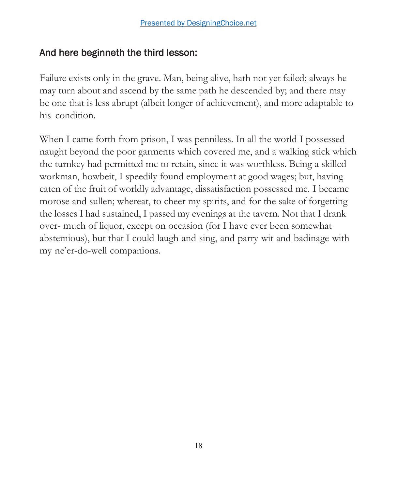### And here beginneth the third lesson:

Failure exists only in the grave. Man, being alive, hath not yet failed; always he may turn about and ascend by the same path he descended by; and there may be one that is less abrupt (albeit longer of achievement), and more adaptable to his condition.

<span id="page-17-0"></span>When I came forth from prison, I was penniless. In all the world I possessed naught beyond the poor garments which covered me, and a walking stick which the turnkey had permitted me to retain, since it was worthless. Being a skilled workman, howbeit, I speedily found employment at good wages; but, having eaten of the fruit of worldly advantage, dissatisfaction possessed me. I became morose and sullen; whereat, to cheer my spirits, and for the sake of forgetting the losses I had sustained, I passed my evenings at the tavern. Not that I drank over- much of liquor, except on occasion (for I have ever been somewhat abstemious), but that I could laugh and sing, and parry wit and badinage with my ne'er-do-well companions.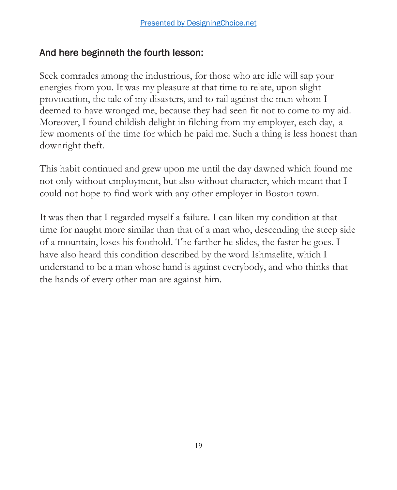### And here beginneth the fourth lesson:

Seek comrades among the industrious, for those who are idle will sap your energies from you. It was my pleasure at that time to relate, upon slight provocation, the tale of my disasters, and to rail against the men whom I deemed to have wronged me, because they had seen fit not to come to my aid. Moreover, I found childish delight in filching from my employer, each day, a few moments of the time for which he paid me. Such a thing is less honest than downright theft.

This habit continued and grew upon me until the day dawned which found me not only without employment, but also without character, which meant that I could not hope to find work with any other employer in Boston town.

It was then that I regarded myself a failure. I can liken my condition at that time for naught more similar than that of a man who, descending the steep side of a mountain, loses his foothold. The farther he slides, the faster he goes. I have also heard this condition described by the word Ishmaelite, which I understand to be a man whose hand is against everybody, and who thinks that the hands of every other man are against him.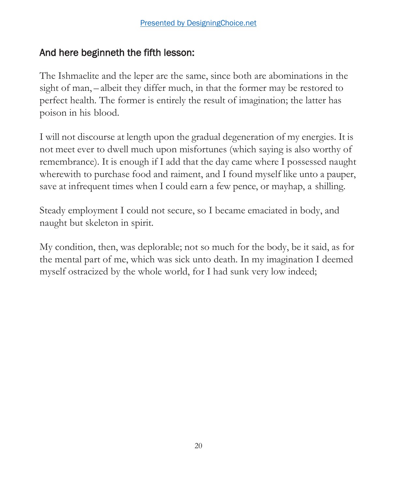### <span id="page-19-0"></span>And here beginneth the fifth lesson:

The Ishmaelite and the leper are the same, since both are abominations in the sight of man, – albeit they differ much, in that the former may be restored to perfect health. The former is entirely the result of imagination; the latter has poison in his blood.

I will not discourse at length upon the gradual degeneration of my energies. It is not meet ever to dwell much upon misfortunes (which saying is also worthy of remembrance). It is enough if I add that the day came where I possessed naught wherewith to purchase food and raiment, and I found myself like unto a pauper, save at infrequent times when I could earn a few pence, or mayhap, a shilling.

Steady employment I could not secure, so I became emaciated in body, and naught but skeleton in spirit.

My condition, then, was deplorable; not so much for the body, be it said, as for the mental part of me, which was sick unto death. In my imagination I deemed myself ostracized by the whole world, for I had sunk very low indeed;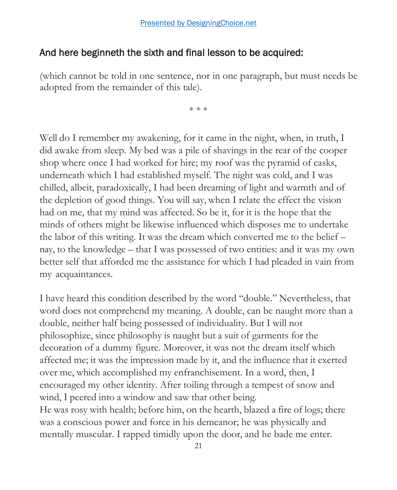#### <span id="page-20-0"></span>And here beginneth the sixth and final lesson to be acquired:

(which cannot be told in one sentence, nor in one paragraph, but must needs be adopted from the remainder of this tale).

\* \* \*

Well do I remember my awakening, for it came in the night, when, in truth, I did awake from sleep. My bed was a pile of shavings in the rear of the cooper shop where once I had worked for hire; my roof was the pyramid of casks, underneath which I had established myself. The night was cold, and I was chilled, albeit, paradoxically, I had been dreaming of light and warmth and of the depletion of good things. You will say, when I relate the effect the vision had on me, that my mind was affected. So be it, for it is the hope that the minds of others might be likewise influenced which disposes me to undertake the labor of this writing. It was the dream which converted me to the belief – nay, to the knowledge – that I was possessed of two entities: and it was my own better self that afforded me the assistance for which I had pleaded in vain from my acquaintances.

I have heard this condition described by the word "double." Nevertheless, that word does not comprehend my meaning. A double, can be naught more than a double, neither half being possessed of individuality. But I will not philosophize, since philosophy is naught but a suit of garments for the decoration of a dummy figure. Moreover, it was not the dream itself which affected me; it was the impression made by it, and the influence that it exerted over me, which accomplished my enfranchisement. In a word, then, I encouraged my other identity. After toiling through a tempest of snow and wind, I peered into a window and saw that other being. He was rosy with health; before him, on the hearth, blazed a fire of logs; there was a conscious power and force in his demeanor; he was physically and mentally muscular. I rapped timidly upon the door, and he bade me enter.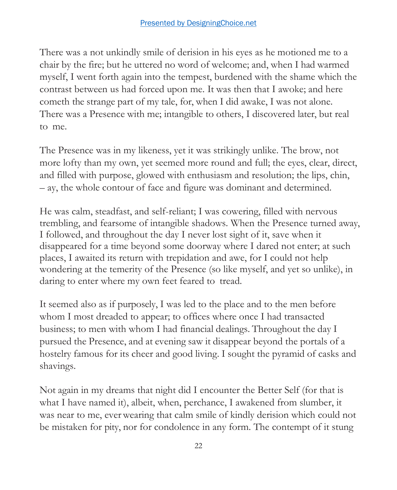There was a not unkindly smile of derision in his eyes as he motioned me to a chair by the fire; but he uttered no word of welcome; and, when I had warmed myself, I went forth again into the tempest, burdened with the shame which the contrast between us had forced upon me. It was then that I awoke; and here cometh the strange part of my tale, for, when I did awake, I was not alone. There was a Presence with me; intangible to others, I discovered later, but real to me.

The Presence was in my likeness, yet it was strikingly unlike. The brow, not more lofty than my own, yet seemed more round and full; the eyes, clear, direct, and filled with purpose, glowed with enthusiasm and resolution; the lips, chin, – ay, the whole contour of face and figure was dominant and determined.

He was calm, steadfast, and self-reliant; I was cowering, filled with nervous trembling, and fearsome of intangible shadows. When the Presence turned away, I followed, and throughout the day I never lost sight of it, save when it disappeared for a time beyond some doorway where I dared not enter; at such places, I awaited its return with trepidation and awe, for I could not help wondering at the temerity of the Presence (so like myself, and yet so unlike), in daring to enter where my own feet feared to tread.

It seemed also as if purposely, I was led to the place and to the men before whom I most dreaded to appear; to offices where once I had transacted business; to men with whom I had financial dealings. Throughout the day I pursued the Presence, and at evening saw it disappear beyond the portals of a hostelry famous for its cheer and good living. I sought the pyramid of casks and shavings.

Not again in my dreams that night did I encounter the Better Self (for that is what I have named it), albeit, when, perchance, I awakened from slumber, it was near to me, ever wearing that calm smile of kindly derision which could not be mistaken for pity, nor for condolence in any form. The contempt of it stung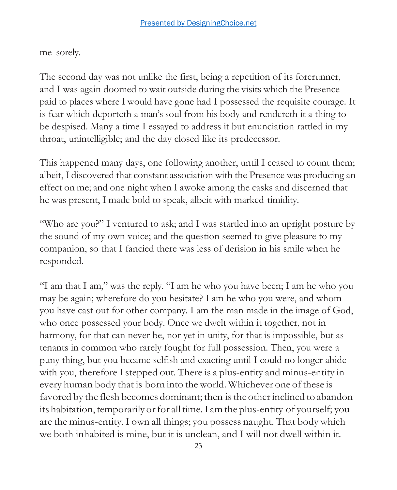me sorely.

The second day was not unlike the first, being a repetition of its forerunner, and I was again doomed to wait outside during the visits which the Presence paid to places where I would have gone had I possessed the requisite courage. It is fear which deporteth a man's soul from his body and rendereth it a thing to be despised. Many a time I essayed to address it but enunciation rattled in my throat, unintelligible; and the day closed like its predecessor.

This happened many days, one following another, until I ceased to count them; albeit, I discovered that constant association with the Presence was producing an effect on me; and one night when I awoke among the casks and discerned that he was present, I made bold to speak, albeit with marked timidity.

"Who are you?" I ventured to ask; and I was startled into an upright posture by the sound of my own voice; and the question seemed to give pleasure to my companion, so that I fancied there was less of derision in his smile when he responded.

"I am that I am," was the reply. "I am he who you have been; I am he who you may be again; wherefore do you hesitate? I am he who you were, and whom you have cast out for other company. I am the man made in the image of God, who once possessed your body. Once we dwelt within it together, not in harmony, for that can never be, nor yet in unity, for that is impossible, but as tenants in common who rarely fought for full possession. Then, you were a puny thing, but you became selfish and exacting until I could no longer abide with you, therefore I stepped out. There is a plus-entity and minus-entity in every human body that is born into the world. Whichever one of these is favored by the flesh becomes dominant; then is the other inclined to abandon its habitation, temporarily or for all time. I am the plus-entity of yourself; you are the minus-entity. I own all things; you possess naught. That body which we both inhabited is mine, but it is unclean, and I will not dwell within it.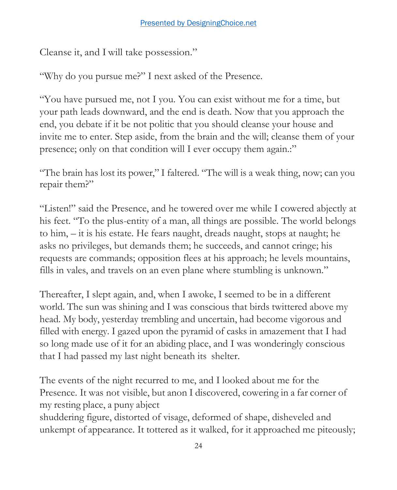Cleanse it, and I will take possession."

"Why do you pursue me?" I next asked of the Presence.

"You have pursued me, not I you. You can exist without me for a time, but your path leads downward, and the end is death. Now that you approach the end, you debate if it be not politic that you should cleanse your house and invite me to enter. Step aside, from the brain and the will; cleanse them of your presence; only on that condition will I ever occupy them again.:"

"The brain has lost its power," I faltered. "The will is a weak thing, now; can you repair them?"

"Listen!" said the Presence, and he towered over me while I cowered abjectly at his feet. "To the plus-entity of a man, all things are possible. The world belongs to him, – it is his estate. He fears naught, dreads naught, stops at naught; he asks no privileges, but demands them; he succeeds, and cannot cringe; his requests are commands; opposition flees at his approach; he levels mountains, fills in vales, and travels on an even plane where stumbling is unknown."

Thereafter, I slept again, and, when I awoke, I seemed to be in a different world. The sun was shining and I was conscious that birds twittered above my head. My body, yesterday trembling and uncertain, had become vigorous and filled with energy. I gazed upon the pyramid of casks in amazement that I had so long made use of it for an abiding place, and I was wonderingly conscious that I had passed my last night beneath its shelter.

The events of the night recurred to me, and I looked about me for the Presence. It was not visible, but anon I discovered, cowering in a far corner of my resting place, a puny abject

shuddering figure, distorted of visage, deformed of shape, disheveled and unkempt of appearance. It tottered as it walked, for it approached me piteously;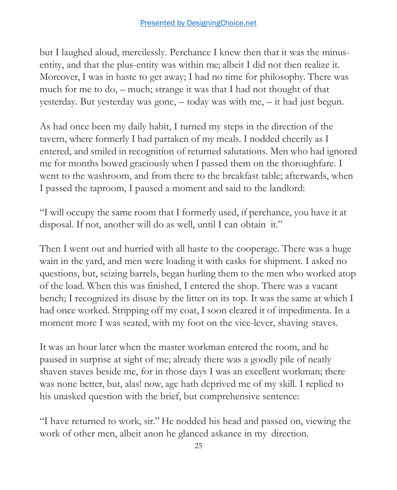but I laughed aloud, mercilessly. Perchance I knew then that it was the minusentity, and that the plus-entity was within me; albeit I did not then realize it. Moreover, I was in haste to get away; I had no time for philosophy. There was much for me to do, – much; strange it was that I had not thought of that yesterday. But yesterday was gone, – today was with me, – it had just begun.

As had once been my daily habit, I turned my steps in the direction of the tavern, where formerly I had partaken of my meals. I nodded cheerily as I entered, and smiled in recognition of returned salutations. Men who had ignored me for months bowed graciously when I passed them on the thoroughfare. I went to the washroom, and from there to the breakfast table; afterwards, when I passed the taproom, I paused a moment and said to the landlord:

"I will occupy the same room that I formerly used, if perchance, you have it at disposal. If not, another will do as well, until I can obtain it."

Then I went out and hurried with all haste to the cooperage. There was a huge wain in the yard, and men were loading it with casks for shipment. I asked no questions, but, seizing barrels, began hurling them to the men who worked atop of the load. When this was finished, I entered the shop. There was a vacant bench; I recognized its disuse by the litter on its top. It was the same at which I had once worked. Stripping off my coat, I soon cleared it of impedimenta. In a moment more I was seated, with my foot on the vice-lever, shaving staves.

It was an hour later when the master workman entered the room, and he paused in surprise at sight of me; already there was a goodly pile of neatly shaven staves beside me, for in those days I was an excellent workman; there was none better, but, alas! now, age hath deprived me of my skill. I replied to his unasked question with the brief, but comprehensive sentence:

"I have returned to work, sir." He nodded his head and passed on, viewing the work of other men, albeit anon he glanced askance in my direction.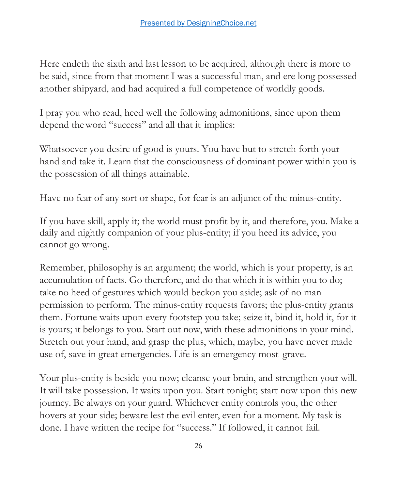Here endeth the sixth and last lesson to be acquired, although there is more to be said, since from that moment I was a successful man, and ere long possessed another shipyard, and had acquired a full competence of worldly goods.

I pray you who read, heed well the following admonitions, since upon them depend theword "success" and all that it implies:

Whatsoever you desire of good is yours. You have but to stretch forth your hand and take it. Learn that the consciousness of dominant power within you is the possession of all things attainable.

Have no fear of any sort or shape, for fear is an adjunct of the minus-entity.

If you have skill, apply it; the world must profit by it, and therefore, you. Make a daily and nightly companion of your plus-entity; if you heed its advice, you cannot go wrong.

Remember, philosophy is an argument; the world, which is your property, is an accumulation of facts. Go therefore, and do that which it is within you to do; take no heed of gestures which would beckon you aside; ask of no man permission to perform. The minus-entity requests favors; the plus-entity grants them. Fortune waits upon every footstep you take; seize it, bind it, hold it, for it is yours; it belongs to you. Start out now, with these admonitions in your mind. Stretch out your hand, and grasp the plus, which, maybe, you have never made use of, save in great emergencies. Life is an emergency most grave.

Your plus-entity is beside you now; cleanse your brain, and strengthen your will. It will take possession. It waits upon you. Start tonight; start now upon this new journey. Be always on your guard. Whichever entity controls you, the other hovers at your side; beware lest the evil enter, even for a moment. My task is done. I have written the recipe for "success." If followed, it cannot fail.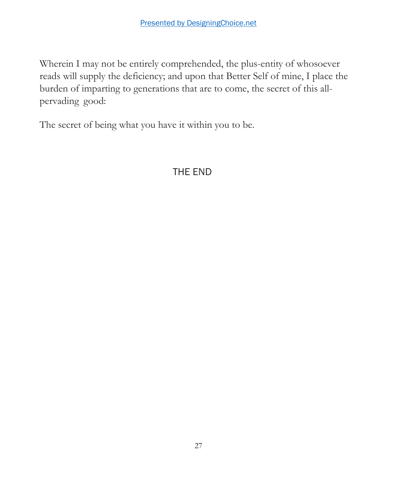Wherein I may not be entirely comprehended, the plus-entity of whosoever reads will supply the deficiency; and upon that Better Self of mine, I place the burden of imparting to generations that are to come, the secret of this allpervading good:

The secret of being what you have it within you to be.

## THE END